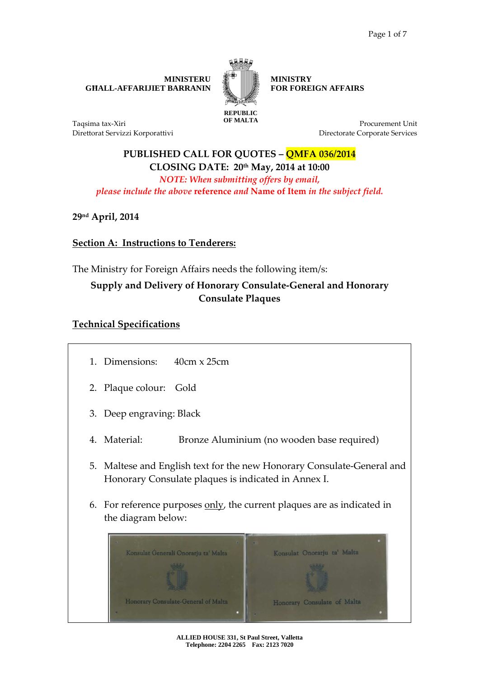**MINISTERU GĦALL-AFFARIJIET BARRANIN** 



**MINISTRY FOR FOREIGN AFFAIRS** 

Taqsima tax-Xiri Direttorat Servizzi Korporattivi

**Procurement Unit** Directorate Corporate Services

## **PUBLISHED CALL FOR QUOTES – QMFA 036/2014 CLOSING DATE: 20th May, 2014 at 10:00**  *NOTE: When submitting offers by email, please include the above* **reference** *and* **Name of Item** *in the subject field.*

**29nd April, 2014** 

## **Section A: Instructions to Tenderers:**

The Ministry for Foreign Affairs needs the following item/s:

## **Supply and Delivery of Honorary Consulate-General and Honorary Consulate Plaques**

## **Technical Specifications**

- 1. Dimensions: 40cm x 25cm
- 2. Plaque colour: Gold
- 3. Deep engraving: Black
- 4. Material: Bronze Aluminium (no wooden base required)
- 5. Maltese and English text for the new Honorary Consulate-General and Honorary Consulate plaques is indicated in Annex I.
- 6. For reference purposes only, the current plaques are as indicated in the diagram below:



**ALLIED HOUSE 331, St Paul Street, Valletta Telephone: 2204 2265 Fax: 2123 7020**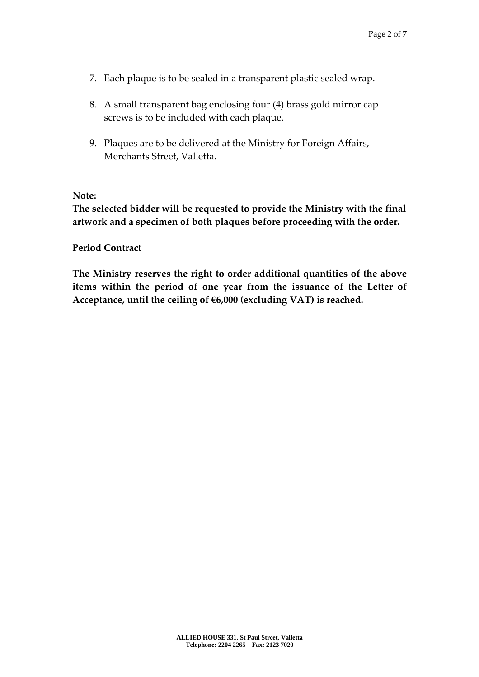- 7. Each plaque is to be sealed in a transparent plastic sealed wrap.
- 8. A small transparent bag enclosing four (4) brass gold mirror cap screws is to be included with each plaque.
- 9. Plaques are to be delivered at the Ministry for Foreign Affairs, Merchants Street, Valletta.

## **Note:**

**The selected bidder will be requested to provide the Ministry with the final artwork and a specimen of both plaques before proceeding with the order.** 

## **Period Contract**

**The Ministry reserves the right to order additional quantities of the above items within the period of one year from the issuance of the Letter of Acceptance, until the ceiling of €6,000 (excluding VAT) is reached.**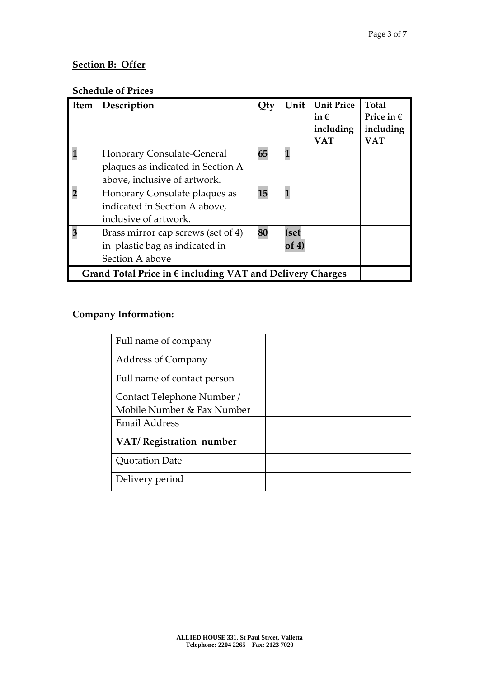## **Section B: Offer**

## **Schedule of Prices**

| Item                                                               | Description                        | Qty | Unit    | <b>Unit Price</b><br>in $\epsilon$<br>including<br><b>VAT</b> | <b>Total</b><br>Price in $\epsilon$<br>including<br><b>VAT</b> |
|--------------------------------------------------------------------|------------------------------------|-----|---------|---------------------------------------------------------------|----------------------------------------------------------------|
|                                                                    | Honorary Consulate-General         | 65  |         |                                                               |                                                                |
|                                                                    | plaques as indicated in Section A  |     |         |                                                               |                                                                |
|                                                                    | above, inclusive of artwork.       |     |         |                                                               |                                                                |
|                                                                    | Honorary Consulate plaques as      | 15  |         |                                                               |                                                                |
|                                                                    | indicated in Section A above,      |     |         |                                                               |                                                                |
|                                                                    | inclusive of artwork.              |     |         |                                                               |                                                                |
|                                                                    | Brass mirror cap screws (set of 4) | 80  | (set    |                                                               |                                                                |
|                                                                    | in plastic bag as indicated in     |     | of $4)$ |                                                               |                                                                |
|                                                                    | Section A above                    |     |         |                                                               |                                                                |
| Grand Total Price in $\epsilon$ including VAT and Delivery Charges |                                    |     |         |                                                               |                                                                |

# **Company Information:**

| Full name of company        |  |
|-----------------------------|--|
| <b>Address of Company</b>   |  |
| Full name of contact person |  |
| Contact Telephone Number /  |  |
| Mobile Number & Fax Number  |  |
| <b>Email Address</b>        |  |
| VAT/Registration number     |  |
| <b>Quotation Date</b>       |  |
| Delivery period             |  |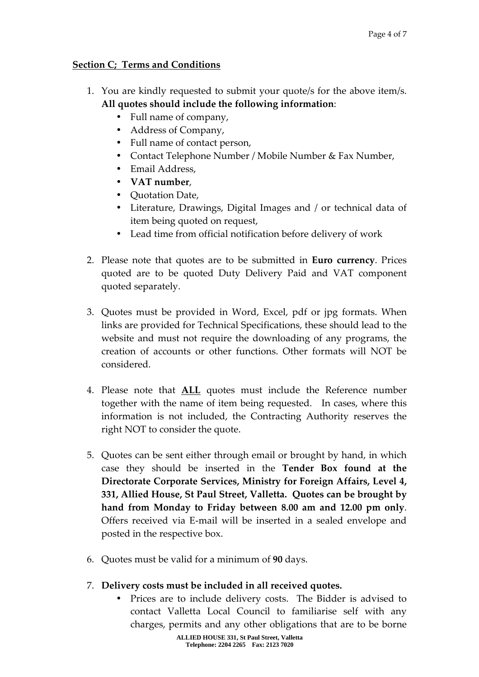## **Section C; Terms and Conditions**

- 1. You are kindly requested to submit your quote/s for the above item/s. **All quotes should include the following information**:
	- Full name of company,
	- Address of Company,
	- Full name of contact person,
	- Contact Telephone Number / Mobile Number & Fax Number,
	- Email Address,
	- **VAT number**,
	- **Quotation Date,**
	- Literature, Drawings, Digital Images and / or technical data of item being quoted on request,
	- Lead time from official notification before delivery of work
- 2. Please note that quotes are to be submitted in **Euro currency**. Prices quoted are to be quoted Duty Delivery Paid and VAT component quoted separately.
- 3. Quotes must be provided in Word, Excel, pdf or jpg formats. When links are provided for Technical Specifications, these should lead to the website and must not require the downloading of any programs, the creation of accounts or other functions. Other formats will NOT be considered.
- 4. Please note that **ALL** quotes must include the Reference number together with the name of item being requested. In cases, where this information is not included, the Contracting Authority reserves the right NOT to consider the quote.
- 5. Quotes can be sent either through email or brought by hand, in which case they should be inserted in the **Tender Box found at the Directorate Corporate Services, Ministry for Foreign Affairs, Level 4, 331, Allied House, St Paul Street, Valletta. Quotes can be brought by hand from Monday to Friday between 8.00 am and 12.00 pm only**. Offers received via E-mail will be inserted in a sealed envelope and posted in the respective box.
- 6. Quotes must be valid for a minimum of **90** days.
- 7. **Delivery costs must be included in all received quotes.** 
	- Prices are to include delivery costs. The Bidder is advised to contact Valletta Local Council to familiarise self with any charges, permits and any other obligations that are to be borne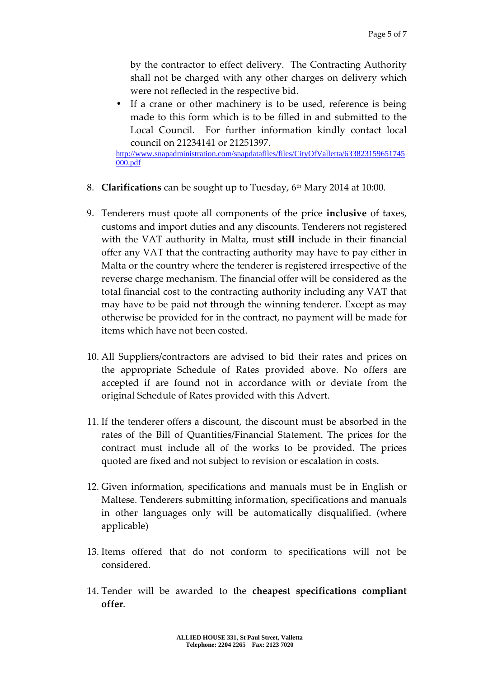by the contractor to effect delivery. The Contracting Authority shall not be charged with any other charges on delivery which were not reflected in the respective bid.

• If a crane or other machinery is to be used, reference is being made to this form which is to be filled in and submitted to the Local Council. For further information kindly contact local council on 21234141 or 21251397.

http://www.snapadministration.com/snapdatafiles/files/CityOfValletta/633823159651745 000.pdf

- 8. **Clarifications** can be sought up to Tuesday, 6<sup>th</sup> Mary 2014 at 10:00.
- 9. Tenderers must quote all components of the price **inclusive** of taxes, customs and import duties and any discounts. Tenderers not registered with the VAT authority in Malta, must **still** include in their financial offer any VAT that the contracting authority may have to pay either in Malta or the country where the tenderer is registered irrespective of the reverse charge mechanism. The financial offer will be considered as the total financial cost to the contracting authority including any VAT that may have to be paid not through the winning tenderer. Except as may otherwise be provided for in the contract, no payment will be made for items which have not been costed.
- 10. All Suppliers/contractors are advised to bid their rates and prices on the appropriate Schedule of Rates provided above. No offers are accepted if are found not in accordance with or deviate from the original Schedule of Rates provided with this Advert.
- 11. If the tenderer offers a discount, the discount must be absorbed in the rates of the Bill of Quantities/Financial Statement. The prices for the contract must include all of the works to be provided. The prices quoted are fixed and not subject to revision or escalation in costs.
- 12. Given information, specifications and manuals must be in English or Maltese. Tenderers submitting information, specifications and manuals in other languages only will be automatically disqualified. (where applicable)
- 13. Items offered that do not conform to specifications will not be considered.
- 14. Tender will be awarded to the **cheapest specifications compliant offer**.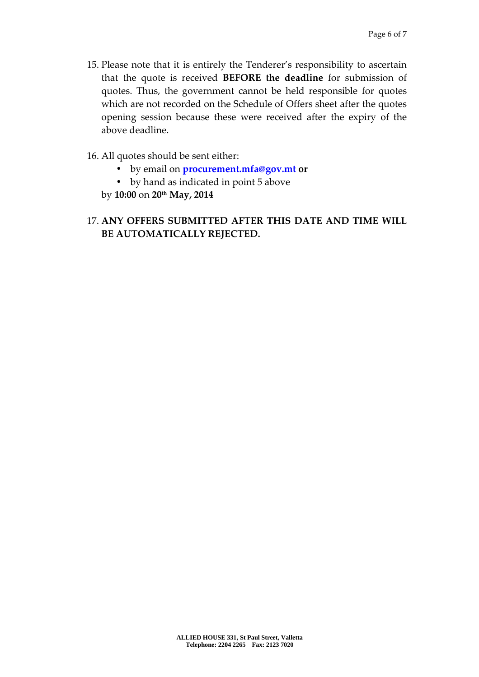- 15. Please note that it is entirely the Tenderer's responsibility to ascertain that the quote is received **BEFORE the deadline** for submission of quotes. Thus, the government cannot be held responsible for quotes which are not recorded on the Schedule of Offers sheet after the quotes opening session because these were received after the expiry of the above deadline.
- 16. All quotes should be sent either:
	- by email on **procurement.mfa@gov.mt or**
	- by hand as indicated in point 5 above
	- by **10:00** on **20th May, 2014**

## 17. **ANY OFFERS SUBMITTED AFTER THIS DATE AND TIME WILL BE AUTOMATICALLY REJECTED.**